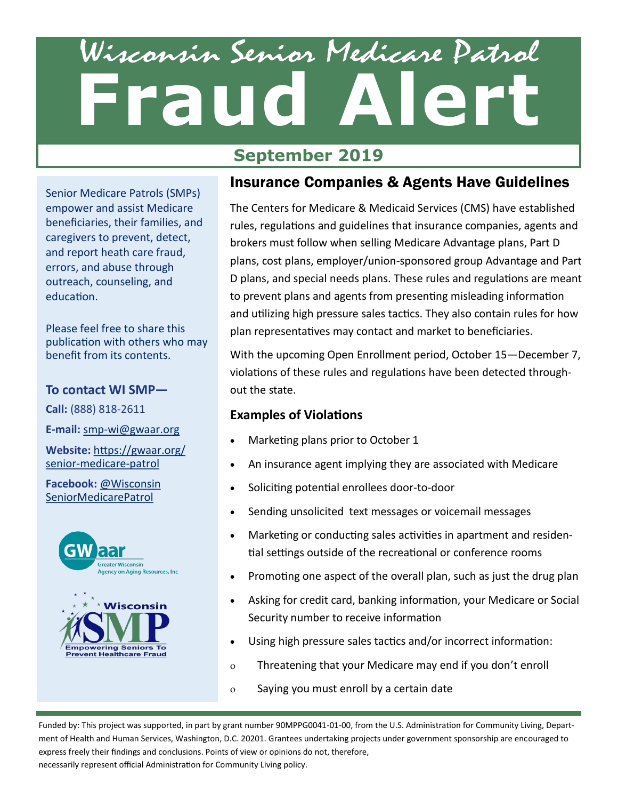# Wisconsin Senior Medicare Patrol **Fraud Alert**

### **September 2019**

Senior Medicare Patrols (SMPs) empower and assist Medicare beneficiaries, their families, and caregivers to prevent, detect, and report heath care fraud, errors, and abuse through outreach, counseling, and education.

Please feel free to share this publication with others who may benefit from its contents.

#### **To contact WI SMP—**

**Call:** (888) 818-2611

**E-mail:** smp-[wi@gwaar.org](mailto:smp-wi@gwaar.org)

**Website:** [https://gwaar.org/](https://gwaar.org/senior-medicare-patrol) senior-[medicare](https://gwaar.org/senior-medicare-patrol)-patrol

#### **Facebook:** [@Wisconsin](https://www.facebook.com/WisconsinSeniorMedicarePatrol/) [SeniorMedicarePatrol](https://www.facebook.com/WisconsinSeniorMedicarePatrol/)



#### Insurance Companies & Agents Have Guidelines

The Centers for Medicare & Medicaid Services (CMS) have established rules, regulations and guidelines that insurance companies, agents and brokers must follow when selling Medicare Advantage plans, Part D plans, cost plans, employer/union-sponsored group Advantage and Part D plans, and special needs plans. These rules and regulations are meant to prevent plans and agents from presenting misleading information and utilizing high pressure sales tactics. They also contain rules for how plan representatives may contact and market to beneficiaries.

With the upcoming Open Enrollment period, October 15—December 7, violations of these rules and regulations have been detected throughout the state.

#### **Examples of Violations**

- Marketing plans prior to October 1
- An insurance agent implying they are associated with Medicare
- Soliciting potential enrollees door-to-door
- Sending unsolicited text messages or voicemail messages
- Marketing or conducting sales activities in apartment and residential settings outside of the recreational or conference rooms
- Promoting one aspect of the overall plan, such as just the drug plan
- Asking for credit card, banking information, your Medicare or Social Security number to receive information
- Using high pressure sales tactics and/or incorrect information:
- Threatening that your Medicare may end if you don't enroll
- Saying you must enroll by a certain date

Funded by: This project was supported, in part by grant number 90MPPG0041-01-00, from the U.S. Administration for Community Living, Department of Health and Human Services, Washington, D.C. 20201. Grantees undertaking projects under government sponsorship are encouraged to express freely their findings and conclusions. Points of view or opinions do not, therefore,

necessarily represent official Administration for Community Living policy.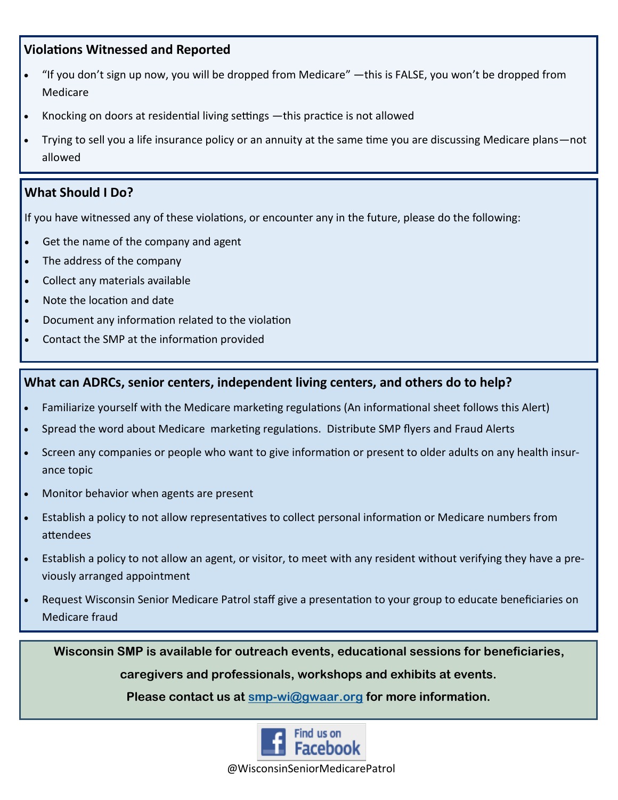#### **Violations Witnessed and Reported**

- "If you don't sign up now, you will be dropped from Medicare" —this is FALSE, you won't be dropped from Medicare
- Knocking on doors at residential living settings —this practice is not allowed
- Trying to sell you a life insurance policy or an annuity at the same time you are discussing Medicare plans—not allowed

#### **What Should I Do?**

If you have witnessed any of these violations, or encounter any in the future, please do the following:

- Get the name of the company and agent
- The address of the company
- Collect any materials available
- Note the location and date
- Document any information related to the violation
- Contact the SMP at the information provided

#### **What can ADRCs, senior centers, independent living centers, and others do to help?**

- Familiarize yourself with the Medicare marketing regulations (An informational sheet follows this Alert)
- Spread the word about Medicare marketing regulations. Distribute SMP flyers and Fraud Alerts
- Screen any companies or people who want to give information or present to older adults on any health insurance topic
- Monitor behavior when agents are present
- Establish a policy to not allow representatives to collect personal information or Medicare numbers from attendees
- Establish a policy to not allow an agent, or visitor, to meet with any resident without verifying they have a previously arranged appointment
- Request Wisconsin Senior Medicare Patrol staff give a presentation to your group to educate beneficiaries on Medicare fraud

**Wisconsin SMP is available for outreach events, educational sessions for beneficiaries, caregivers and professionals, workshops and exhibits at events.**

**Please contact us at [smp-wi@gwaar.org](mailto:smp-wi@gwaar.org) for more information.**